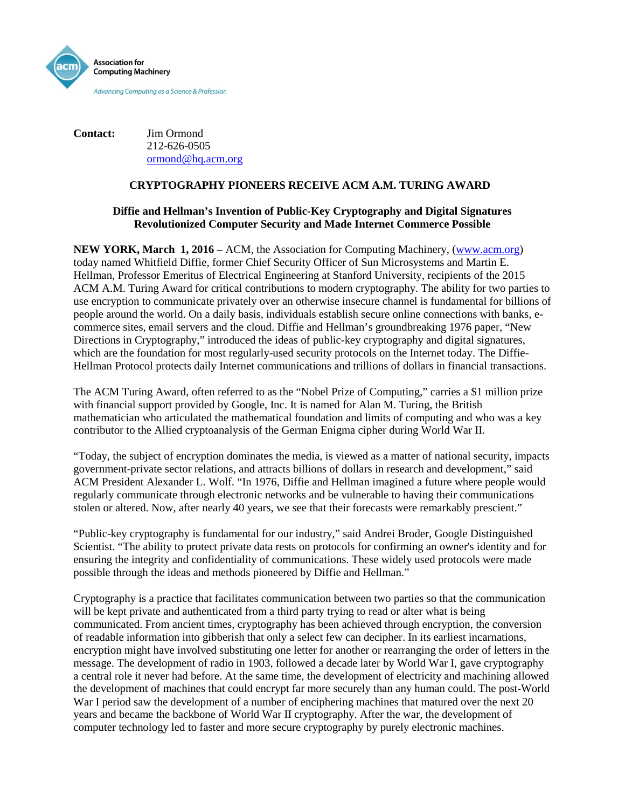

**Contact:** Jim Ormond 212-626-0505 [ormond@hq.acm.org](mailto:ormond@hq.acm.org)

# **CRYPTOGRAPHY PIONEERS RECEIVE ACM A.M. TURING AWARD**

# **Diffie and Hellman's Invention of Public-Key Cryptography and Digital Signatures Revolutionized Computer Security and Made Internet Commerce Possible**

**NEW YORK, March 1, 2016** – [ACM,](http://www.acm.org/) the Association for Computing Machinery, [\(www.acm.org\)](http://www.acm.org/) today named Whitfield Diffie, former Chief Security Officer of Sun Microsystems and Martin E. Hellman, Professor Emeritus of Electrical Engineering at Stanford University, recipients of the 2015 ACM A.M. Turing Award for critical contributions to modern cryptography. The ability for two parties to use encryption to communicate privately over an otherwise insecure channel is fundamental for billions of people around the world. On a daily basis, individuals establish secure online connections with banks, ecommerce sites, email servers and the cloud. Diffie and Hellman's groundbreaking 1976 paper, "New Directions in Cryptography," introduced the ideas of public-key cryptography and digital signatures, which are the foundation for most regularly-used security protocols on the Internet today. The Diffie-Hellman Protocol protects daily Internet communications and trillions of dollars in financial transactions.

The ACM Turing Award, often referred to as the "Nobel Prize of Computing," carries a \$1 million prize with financial support provided by Google, Inc. It is named for Alan M. Turing, the British mathematician who articulated the mathematical foundation and limits of computing and who was a key contributor to the Allied cryptoanalysis of the German Enigma cipher during World War II.

"Today, the subject of encryption dominates the media, is viewed as a matter of national security, impacts government-private sector relations, and attracts billions of dollars in research and development," said ACM President Alexander L. Wolf. "In 1976, Diffie and Hellman imagined a future where people would regularly communicate through electronic networks and be vulnerable to having their communications stolen or altered. Now, after nearly 40 years, we see that their forecasts were remarkably prescient."

"Public-key cryptography is fundamental for our industry," said Andrei Broder, Google Distinguished Scientist. "The ability to protect private data rests on protocols for confirming an owner's identity and for ensuring the integrity and confidentiality of communications. These widely used protocols were made possible through the ideas and methods pioneered by Diffie and Hellman."

Cryptography is a practice that facilitates communication between two parties so that the communication will be kept private and authenticated from a third party trying to read or alter what is being communicated. From ancient times, cryptography has been achieved through encryption, the conversion of readable information into gibberish that only a select few can decipher. In its earliest incarnations, encryption might have involved substituting one letter for another or rearranging the order of letters in the message. The development of radio in 1903, followed a decade later by World War I, gave cryptography a central role it never had before. At the same time, the development of electricity and machining allowed the development of machines that could encrypt far more securely than any human could. The post-World War I period saw the development of a number of enciphering machines that matured over the next 20 years and became the backbone of World War II cryptography. After the war, the development of computer technology led to faster and more secure cryptography by purely electronic machines.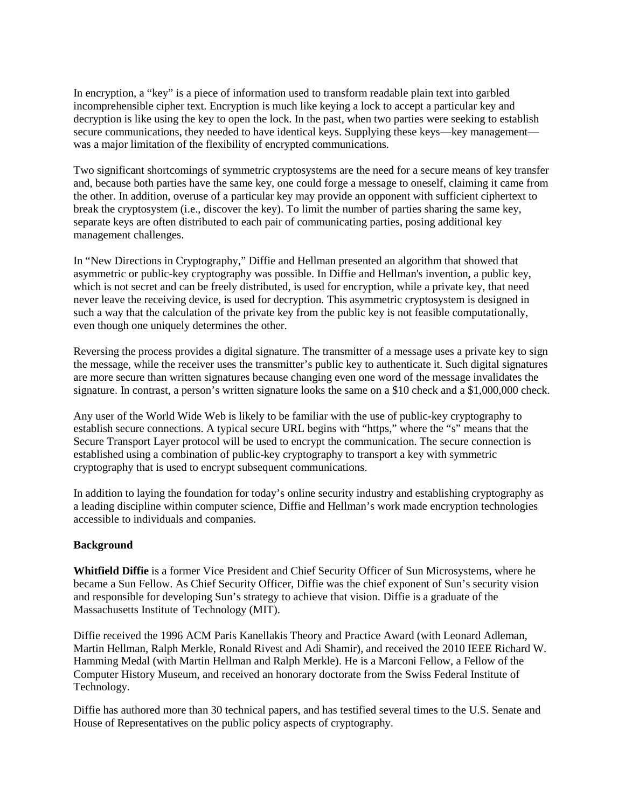In encryption, a "key" is a piece of information used to transform readable plain text into garbled incomprehensible cipher text. Encryption is much like keying a lock to accept a particular key and decryption is like using the key to open the lock. In the past, when two parties were seeking to establish secure communications, they needed to have identical keys. Supplying these keys—key management was a major limitation of the flexibility of encrypted communications.

Two significant shortcomings of symmetric cryptosystems are the need for a secure means of key transfer and, because both parties have the same key, one could forge a message to oneself, claiming it came from the other. In addition, overuse of a particular key may provide an opponent with sufficient ciphertext to break the cryptosystem (i.e., discover the key). To limit the number of parties sharing the same key, separate keys are often distributed to each pair of communicating parties, posing additional key management challenges.

In "New Directions in Cryptography," Diffie and Hellman presented an algorithm that showed that asymmetric or public-key cryptography was possible. In Diffie and Hellman's invention, a public key, which is not secret and can be freely distributed, is used for encryption, while a private key, that need never leave the receiving device, is used for decryption. This asymmetric cryptosystem is designed in such a way that the calculation of the private key from the public key is not feasible computationally, even though one uniquely determines the other.

Reversing the process provides a digital signature. The transmitter of a message uses a private key to sign the message, while the receiver uses the transmitter's public key to authenticate it. Such digital signatures are more secure than written signatures because changing even one word of the message invalidates the signature. In contrast, a person's written signature looks the same on a \$10 check and a \$1,000,000 check.

Any user of the World Wide Web is likely to be familiar with the use of public-key cryptography to establish secure connections. A typical secure URL begins with "https," where the "s" means that the Secure Transport Layer protocol will be used to encrypt the communication. The secure connection is established using a combination of public-key cryptography to transport a key with symmetric cryptography that is used to encrypt subsequent communications.

In addition to laying the foundation for today's online security industry and establishing cryptography as a leading discipline within computer science, Diffie and Hellman's work made encryption technologies accessible to individuals and companies.

## **Background**

**Whitfield Diffie** is a former Vice President and Chief Security Officer of Sun Microsystems, where he became a Sun Fellow. As Chief Security Officer, Diffie was the chief exponent of Sun's security vision and responsible for developing Sun's strategy to achieve that vision. Diffie is a graduate of the Massachusetts Institute of Technology (MIT).

Diffie received the 1996 ACM Paris Kanellakis Theory and Practice Award (with Leonard Adleman, Martin Hellman, Ralph Merkle, Ronald Rivest and Adi Shamir), and received the 2010 IEEE Richard W. Hamming Medal (with Martin Hellman and Ralph Merkle). He is a Marconi Fellow, a Fellow of the Computer History Museum, and received an honorary doctorate from the Swiss Federal Institute of Technology.

Diffie has authored more than 30 technical papers, and has testified several times to the U.S. Senate and House of Representatives on the public policy aspects of cryptography.